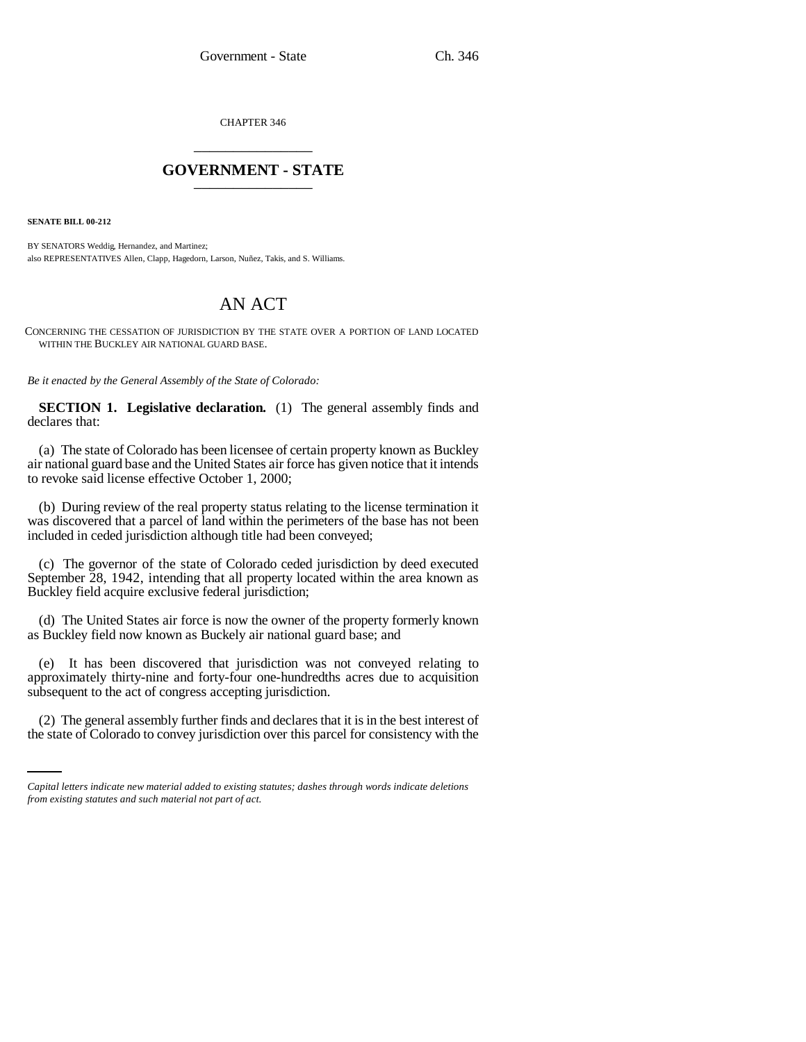CHAPTER 346 \_\_\_\_\_\_\_\_\_\_\_\_\_\_\_

## **GOVERNMENT - STATE** \_\_\_\_\_\_\_\_\_\_\_\_\_\_\_

**SENATE BILL 00-212** 

BY SENATORS Weddig, Hernandez, and Martinez; also REPRESENTATIVES Allen, Clapp, Hagedorn, Larson, Nuñez, Takis, and S. Williams.

## AN ACT

CONCERNING THE CESSATION OF JURISDICTION BY THE STATE OVER A PORTION OF LAND LOCATED WITHIN THE BUCKLEY AIR NATIONAL GUARD BASE.

*Be it enacted by the General Assembly of the State of Colorado:*

**SECTION 1. Legislative declaration.** (1) The general assembly finds and declares that:

(a) The state of Colorado has been licensee of certain property known as Buckley air national guard base and the United States air force has given notice that it intends to revoke said license effective October 1, 2000;

(b) During review of the real property status relating to the license termination it was discovered that a parcel of land within the perimeters of the base has not been included in ceded jurisdiction although title had been conveyed;

(c) The governor of the state of Colorado ceded jurisdiction by deed executed September 28, 1942, intending that all property located within the area known as Buckley field acquire exclusive federal jurisdiction;

(d) The United States air force is now the owner of the property formerly known as Buckley field now known as Buckely air national guard base; and

en en 19 (e) It has been discovered that jurisdiction was not conveyed relating to approximately thirty-nine and forty-four one-hundredths acres due to acquisition subsequent to the act of congress accepting jurisdiction.

(2) The general assembly further finds and declares that it is in the best interest of the state of Colorado to convey jurisdiction over this parcel for consistency with the

*Capital letters indicate new material added to existing statutes; dashes through words indicate deletions from existing statutes and such material not part of act.*